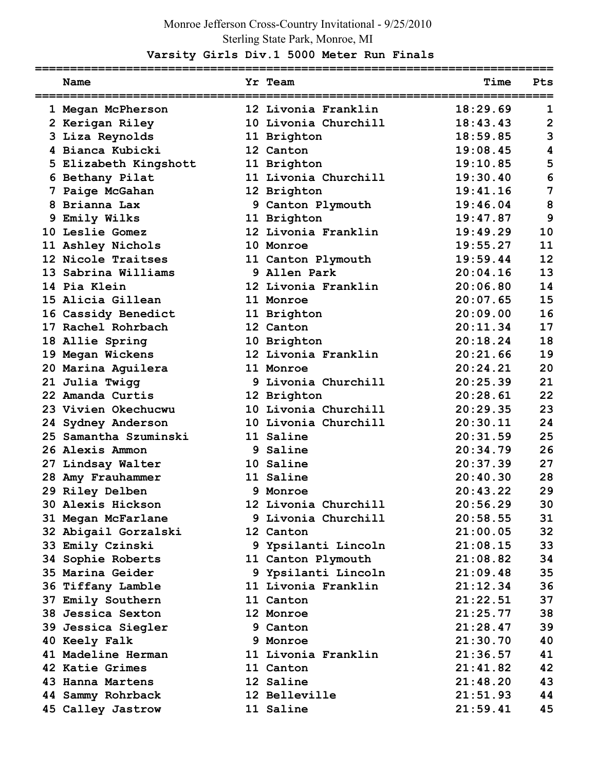## Monroe Jefferson Cross-Country Invitational - 9/25/2010 Sterling State Park, Monroe, MI

## **Varsity Girls Div.1 5000 Meter Run Finals**

| Name                  | Yr Team              | Time     | Pts            |
|-----------------------|----------------------|----------|----------------|
| 1 Megan McPherson     | 12 Livonia Franklin  | 18:29.69 | 1              |
| 2 Kerigan Riley       | 10 Livonia Churchill | 18:43.43 | $\overline{2}$ |
| 3 Liza Reynolds       | 11 Brighton          | 18:59.85 | 3              |
| 4 Bianca Kubicki      | 12 Canton            | 19:08.45 | 4              |
| 5 Elizabeth Kingshott | 11 Brighton          | 19:10.85 | 5              |
| 6 Bethany Pilat       | 11 Livonia Churchill | 19:30.40 | 6              |
| 7 Paige McGahan       | 12 Brighton          | 19:41.16 | 7              |
| 8 Brianna Lax         | 9 Canton Plymouth    | 19:46.04 | 8              |
| 9 Emily Wilks         | 11 Brighton          | 19:47.87 | 9              |
| 10 Leslie Gomez       | 12 Livonia Franklin  | 19:49.29 | 10             |
| 11 Ashley Nichols     | 10 Monroe            | 19:55.27 | 11             |
| 12 Nicole Traitses    | 11 Canton Plymouth   | 19:59.44 | 12             |
| 13 Sabrina Williams   | 9 Allen Park         | 20:04.16 | 13             |
| 14 Pia Klein          | 12 Livonia Franklin  | 20:06.80 | 14             |
| 15 Alicia Gillean     | 11 Monroe            | 20:07.65 | 15             |
| 16 Cassidy Benedict   | 11 Brighton          | 20:09.00 | 16             |
| 17 Rachel Rohrbach    | 12 Canton            | 20:11.34 | 17             |
| 18 Allie Spring       | 10 Brighton          | 20:18.24 | 18             |
| 19 Megan Wickens      | 12 Livonia Franklin  | 20:21.66 | 19             |
| 20 Marina Aguilera    | 11 Monroe            | 20:24.21 | 20             |
| 21 Julia Twigg        | 9 Livonia Churchill  | 20:25.39 | 21             |
| 22 Amanda Curtis      | 12 Brighton          | 20:28.61 | 22             |
| 23 Vivien Okechucwu   | 10 Livonia Churchill | 20:29.35 | 23             |
| 24 Sydney Anderson    | 10 Livonia Churchill | 20:30.11 | 24             |
| 25 Samantha Szuminski | 11 Saline            | 20:31.59 | 25             |
| 26 Alexis Ammon       | 9 Saline             | 20:34.79 | 26             |
| 27 Lindsay Walter     | 10 Saline            | 20:37.39 | 27             |
| 28 Amy Frauhammer     | 11 Saline            | 20:40.30 | 28             |
| 29 Riley Delben       | 9 Monroe             | 20:43.22 | 29             |
| 30 Alexis Hickson     | 12 Livonia Churchill | 20:56.29 | 30             |
| 31 Megan McFarlane    | 9 Livonia Churchill  | 20:58.55 | 31             |
| 32 Abigail Gorzalski  | 12 Canton            | 21:00.05 | 32             |
| 33 Emily Czinski      | 9 Ypsilanti Lincoln  | 21:08.15 | 33             |
| 34 Sophie Roberts     | 11 Canton Plymouth   | 21:08.82 | 34             |
| 35 Marina Geider      | 9 Ypsilanti Lincoln  | 21:09.48 | 35             |
| 36 Tiffany Lamble     | 11 Livonia Franklin  | 21:12.34 | 36             |
| 37 Emily Southern     | 11 Canton            | 21:22.51 | 37             |
| 38 Jessica Sexton     | 12 Monroe            | 21:25.77 | 38             |
| 39 Jessica Siegler    | 9 Canton             | 21:28.47 | 39             |
| 40 Keely Falk         | 9 Monroe             | 21:30.70 | 40             |
| 41 Madeline Herman    | 11 Livonia Franklin  | 21:36.57 | 41             |
| 42 Katie Grimes       | 11 Canton            | 21:41.82 | 42             |
| 43 Hanna Martens      | 12 Saline            | 21:48.20 | 43             |
| 44 Sammy Rohrback     | 12 Belleville        | 21:51.93 | 44             |
| 45 Calley Jastrow     | 11 Saline            | 21:59.41 | 45             |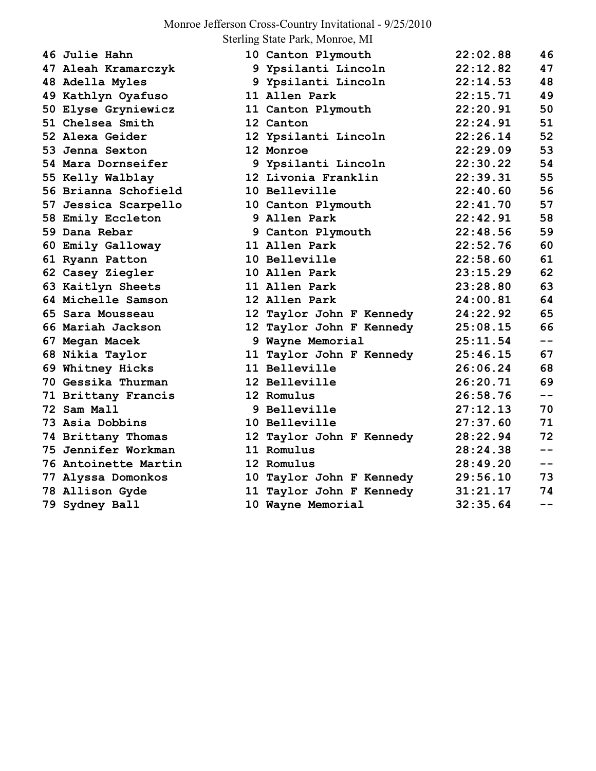## Monroe Jefferson Cross-Country Invitational - 9/25/2010

Sterling State Park, Monroe, MI

| 46 Julie Hahn        | 10 Canton Plymouth       | 22:02.88 | 46    |
|----------------------|--------------------------|----------|-------|
| 47 Aleah Kramarczyk  | 9 Ypsilanti Lincoln      | 22:12.82 | 47    |
| 48 Adella Myles      | 9 Ypsilanti Lincoln      | 22:14.53 | 48    |
| 49 Kathlyn Oyafuso   | 11 Allen Park            | 22:15.71 | 49    |
| 50 Elyse Gryniewicz  | 11 Canton Plymouth       | 22:20.91 | 50    |
| 51 Chelsea Smith     | 12 Canton                | 22:24.91 | 51    |
| 52 Alexa Geider      | 12 Ypsilanti Lincoln     | 22:26.14 | 52    |
| 53 Jenna Sexton      | 12 Monroe                | 22:29.09 | 53    |
| 54 Mara Dornseifer   | 9 Ypsilanti Lincoln      | 22:30.22 | 54    |
| 55 Kelly Walblay     | 12 Livonia Franklin      | 22:39.31 | 55    |
| 56 Brianna Schofield | 10 Belleville            | 22:40.60 | 56    |
| 57 Jessica Scarpello | 10 Canton Plymouth       | 22:41.70 | 57    |
| 58 Emily Eccleton    | 9 Allen Park             | 22:42.91 | 58    |
| 59 Dana Rebar        | 9 Canton Plymouth        | 22:48.56 | 59    |
| 60 Emily Galloway    | 11 Allen Park            | 22:52.76 | 60    |
| 61 Ryann Patton      | 10 Belleville            | 22:58.60 | 61    |
| 62 Casey Ziegler     | 10 Allen Park            | 23:15.29 | 62    |
| 63 Kaitlyn Sheets    | 11 Allen Park            | 23:28.80 | 63    |
| 64 Michelle Samson   | 12 Allen Park            | 24:00.81 | 64    |
| 65 Sara Mousseau     | 12 Taylor John F Kennedy | 24:22.92 | 65    |
| 66 Mariah Jackson    | 12 Taylor John F Kennedy | 25:08.15 | 66    |
| 67 Megan Macek       | 9 Wayne Memorial         | 25:11.54 | $- -$ |
| 68 Nikia Taylor      | 11 Taylor John F Kennedy | 25:46.15 | 67    |
| 69 Whitney Hicks     | 11 Belleville            | 26:06.24 | 68    |
| 70 Gessika Thurman   | 12 Belleville            | 26:20.71 | 69    |
| 71 Brittany Francis  | 12 Romulus               | 26:58.76 | $ -$  |
| 72 Sam Mall          | 9 Belleville             | 27:12.13 | 70    |
| 73 Asia Dobbins      | 10 Belleville            | 27:37.60 | 71    |
| 74 Brittany Thomas   | 12 Taylor John F Kennedy | 28:22.94 | 72    |
| 75 Jennifer Workman  | 11 Romulus               | 28:24.38 | $- -$ |
| 76 Antoinette Martin | 12 Romulus               | 28:49.20 | $- -$ |
| 77 Alyssa Domonkos   | 10 Taylor John F Kennedy | 29:56.10 | 73    |
| 78 Allison Gyde      | 11 Taylor John F Kennedy | 31:21.17 | 74    |
| 79 Sydney Ball       | 10 Wayne Memorial        | 32:35.64 | $- -$ |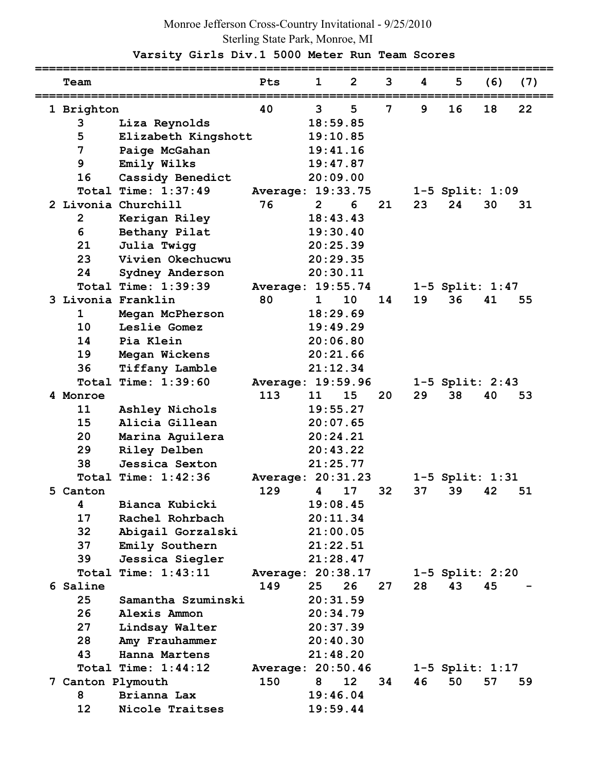## Monroe Jefferson Cross-Country Invitational - 9/25/2010 Sterling State Park, Monroe, MI

 **Varsity Girls Div.1 5000 Meter Run Team Scores** 

| Team            |                       | Pts               | 1              | $\overline{2}$ | 3  | 4  | 5                     | (6) | (7) |
|-----------------|-----------------------|-------------------|----------------|----------------|----|----|-----------------------|-----|-----|
| 1 Brighton      |                       | 40                | 3              | 5              | 7  | 9  | 16                    | 18  | 22  |
| 3               | Liza Reynolds         |                   | 18:59.85       |                |    |    |                       |     |     |
| 5               | Elizabeth Kingshott   |                   | 19:10.85       |                |    |    |                       |     |     |
| 7               | Paige McGahan         |                   | 19:41.16       |                |    |    |                       |     |     |
| 9               | Emily Wilks           |                   | 19:47.87       |                |    |    |                       |     |     |
| 16              | Cassidy Benedict      |                   | 20:09.00       |                |    |    |                       |     |     |
|                 | Total Time: $1:37:49$ | Average: 19:33.75 |                |                |    |    | 1-5 Split: 1:09       |     |     |
|                 | 2 Livonia Churchill   | 76                | $\overline{2}$ | 6              | 21 | 23 | 24                    | 30  | 31  |
| $\mathbf{2}$    | Kerigan Riley         |                   | 18:43.43       |                |    |    |                       |     |     |
| 6               | Bethany Pilat         |                   | 19:30.40       |                |    |    |                       |     |     |
| 21              | Julia Twigg           |                   | 20:25.39       |                |    |    |                       |     |     |
| 23              | Vivien Okechucwu      |                   | 20:29.35       |                |    |    |                       |     |     |
| 24              | Sydney Anderson       |                   | 20:30.11       |                |    |    |                       |     |     |
|                 | Total Time: 1:39:39   | Average: 19:55.74 |                |                |    |    | $1-5$ Split: $1:47$   |     |     |
|                 | 3 Livonia Franklin    | 80                | 1              | 10             | 14 | 19 | 36                    | 41  | 55  |
| $\mathbf 1$     | Megan McPherson       |                   | 18:29.69       |                |    |    |                       |     |     |
| 10              | Leslie Gomez          |                   | 19:49.29       |                |    |    |                       |     |     |
| 14              | Pia Klein             |                   | 20:06.80       |                |    |    |                       |     |     |
| 19              | Megan Wickens         |                   | 20:21.66       |                |    |    |                       |     |     |
| 36              | Tiffany Lamble        |                   | 21:12.34       |                |    |    |                       |     |     |
| Total           | Time: 1:39:60         | Average: 19:59.96 |                |                |    |    | 1-5 Split: 2:43       |     |     |
| 4 Monroe        |                       | 113               | 11             | 15             | 20 | 29 | 38                    | 40  | 53  |
| 11              | Ashley Nichols        |                   | 19:55.27       |                |    |    |                       |     |     |
| 15              | Alicia Gillean        |                   | 20:07.65       |                |    |    |                       |     |     |
| 20              | Marina Aguilera       |                   | 20:24.21       |                |    |    |                       |     |     |
| 29              | Riley Delben          |                   | 20:43.22       |                |    |    |                       |     |     |
| 38              | Jessica Sexton        |                   | 21:25.77       |                |    |    |                       |     |     |
|                 | Total Time: $1:42:36$ | Average: 20:31.23 |                |                |    |    | $1 - 5$ Split: $1:31$ |     |     |
| 5 Canton        |                       | 129               | 4              | 17             | 32 | 37 | 39                    | 42  | 51  |
| 4               | Bianca Kubicki        |                   |                | 19:08.45       |    |    |                       |     |     |
| 17              | Rachel Rohrbach       |                   | 20:11.34       |                |    |    |                       |     |     |
| 32              | Abigail Gorzalski     |                   | 21:00.05       |                |    |    |                       |     |     |
| 37              | Emily Southern        |                   | 21:22.51       |                |    |    |                       |     |     |
| 39              | Jessica Siegler       |                   |                | 21:28.47       |    |    |                       |     |     |
|                 | Total Time: 1:43:11   | Average: 20:38.17 |                |                |    |    | 1-5 Split: 2:20       |     |     |
| 6 Saline        |                       | 149               | 25             | 26             | 27 | 28 | 43                    | 45  |     |
| 25              | Samantha Szuminski    |                   | 20:31.59       |                |    |    |                       |     |     |
| 26              | Alexis Ammon          |                   | 20:34.79       |                |    |    |                       |     |     |
| 27 <sub>2</sub> | Lindsay Walter        |                   | 20:37.39       |                |    |    |                       |     |     |
| 28              | Amy Frauhammer        |                   | 20:40.30       |                |    |    |                       |     |     |
| 43              | Hanna Martens         |                   | 21:48.20       |                |    |    |                       |     |     |
|                 | Total Time: 1:44:12   | Average: 20:50.46 |                |                |    |    | $1-5$ Split: $1:17$   |     |     |
|                 | 7 Canton Plymouth     | 150               | 8              | 12             | 34 | 46 | 50                    | 57  | 59  |
| 8               | Brianna Lax           |                   | 19:46.04       |                |    |    |                       |     |     |
| 12 <sup>2</sup> | Nicole Traitses       |                   |                | 19:59.44       |    |    |                       |     |     |